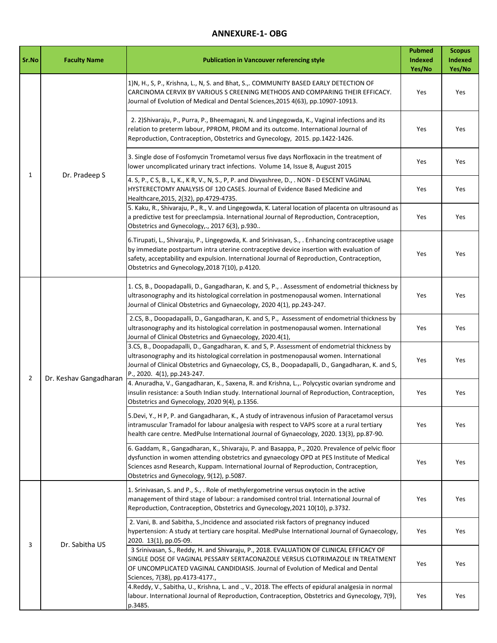## **ANNEXURE-1- OBG**

| Sr.No          | <b>Faculty Name</b>    | <b>Publication in Vancouver referencing style</b>                                                                                                                                                                                                                                                                                             | <b>Pubmed</b><br>Indexed<br>Yes/No | <b>Scopus</b><br><b>Indexed</b><br>Yes/No |
|----------------|------------------------|-----------------------------------------------------------------------------------------------------------------------------------------------------------------------------------------------------------------------------------------------------------------------------------------------------------------------------------------------|------------------------------------|-------------------------------------------|
| $\mathbf{1}$   | Dr. Pradeep S          | 1) N, H., S, P., Krishna, L., N, S. and Bhat, S.,. COMMUNITY BASED EARLY DETECTION OF<br>CARCINOMA CERVIX BY VARIOUS S CREENING METHODS AND COMPARING THEIR EFFICACY.<br>Journal of Evolution of Medical and Dental Sciences, 2015 4(63), pp.10907-10913.                                                                                     | Yes                                | Yes                                       |
|                |                        | 2. 2) Shivaraju, P., Purra, P., Bheemagani, N. and Lingegowda, K., Vaginal infections and its<br>relation to preterm labour, PPROM, PROM and its outcome. International Journal of<br>Reproduction, Contraception, Obstetrics and Gynecology, 2015. pp.1422-1426.                                                                             | Yes                                | Yes                                       |
|                |                        | 3. Single dose of Fosfomycin Trometamol versus five days Norfloxacin in the treatment of<br>lower uncomplicated urinary tract infections. Volume 14, Issue 8, August 2015                                                                                                                                                                     | Yes                                | Yes                                       |
|                |                        | 4. S, P., C S, B., L, K., K R, V., N, S., P, P. and Divyashree, D., . NON - D ESCENT VAGINAL<br>HYSTERECTOMY ANALYSIS OF 120 CASES. Journal of Evidence Based Medicine and<br>Healthcare, 2015, 2(32), pp.4729-4735.                                                                                                                          | Yes                                | Yes                                       |
|                |                        | 5. Kaku, R., Shivaraju, P., R., V. and Lingegowda, K. Lateral location of placenta on ultrasound as<br>a predictive test for preeclampsia. International Journal of Reproduction, Contraception,<br>Obstetrics and Gynecology,., 2017 6(3), p.930                                                                                             | Yes                                | Yes                                       |
|                |                        | 6. Tirupati, L., Shivaraju, P., Lingegowda, K. and Srinivasan, S., . Enhancing contraceptive usage<br>by immediate postpartum intra uterine contraceptive device insertion with evaluation of<br>safety, acceptability and expulsion. International Journal of Reproduction, Contraception,<br>Obstetrics and Gynecology, 2018 7(10), p.4120. | Yes                                | Yes                                       |
| $\overline{2}$ | Dr. Keshav Gangadharan | 1. CS, B., Doopadapalli, D., Gangadharan, K. and S, P., . Assessment of endometrial thickness by<br>ultrasonography and its histological correlation in postmenopausal women. International<br>Journal of Clinical Obstetrics and Gynaecology, 2020 4(1), pp.243-247.                                                                         | Yes                                | Yes                                       |
|                |                        | 2.CS, B., Doopadapalli, D., Gangadharan, K. and S, P., Assessment of endometrial thickness by<br>ultrasonography and its histological correlation in postmenopausal women. International<br>Journal of Clinical Obstetrics and Gynaecology, 2020.4(1),                                                                                        | Yes                                | Yes                                       |
|                |                        | 3.CS, B., Doopadapalli, D., Gangadharan, K. and S, P. Assessment of endometrial thickness by<br>ultrasonography and its histological correlation in postmenopausal women. International<br>Journal of Clinical Obstetrics and Gynaecology, CS, B., Doopadapalli, D., Gangadharan, K. and S,<br>P., 2020. 4(1), pp.243-247.                    | Yes                                | Yes                                       |
|                |                        | 4. Anuradha, V., Gangadharan, K., Saxena, R. and Krishna, L.,. Polycystic ovarian syndrome and<br>insulin resistance: a South Indian study. International Journal of Reproduction, Contraception,<br>Obstetrics and Gynecology, 2020 9(4), p.1356.                                                                                            | Yes                                | Yes                                       |
|                |                        | 5. Devi, Y., H P, P. and Gangadharan, K., A study of intravenous infusion of Paracetamol versus<br>intramuscular Tramadol for labour analgesia with respect to VAPS score at a rural tertiary<br>health care centre. MedPulse International Journal of Gynaecology, 2020. 13(3), pp.87-90.                                                    | Yes                                | Yes                                       |
|                |                        | 6. Gaddam, R., Gangadharan, K., Shivaraju, P. and Basappa, P., 2020. Prevalence of pelvic floor<br>dysfunction in women attending obstetrics and gynaecology OPD at PES Institute of Medical<br>Sciences asnd Research, Kuppam. International Journal of Reproduction, Contraception,<br>Obstetrics and Gynecology, 9(12), p.5087.            | Yes                                | Yes                                       |
| 3              | Dr. Sabitha US         | 1. Srinivasan, S. and P., S., . Role of methylergometrine versus oxytocin in the active<br>management of third stage of labour: a randomised control trial. International Journal of<br>Reproduction, Contraception, Obstetrics and Gynecology, 2021 10(10), p.3732.                                                                          | Yes                                | Yes                                       |
|                |                        | 2. Vani, B. and Sabitha, S., Incidence and associated risk factors of pregnancy induced<br>hypertension: A study at tertiary care hospital. MedPulse International Journal of Gynaecology,<br>2020. 13(1), pp.05-09.                                                                                                                          | Yes                                | Yes                                       |
|                |                        | 3 Srinivasan, S., Reddy, H. and Shivaraju, P., 2018. EVALUATION OF CLINICAL EFFICACY OF<br>SINGLE DOSE OF VAGINAL PESSARY SERTACONAZOLE VERSUS CLOTRIMAZOLE IN TREATMENT<br>OF UNCOMPLICATED VAGINAL CANDIDIASIS. Journal of Evolution of Medical and Dental<br>Sciences, 7(38), pp.4173-4177.,                                               | Yes                                | Yes                                       |
|                |                        | 4. Reddy, V., Sabitha, U., Krishna, L. and ., V., 2018. The effects of epidural analgesia in normal<br>labour. International Journal of Reproduction, Contraception, Obstetrics and Gynecology, 7(9),<br>p.3485.                                                                                                                              | Yes                                | Yes                                       |